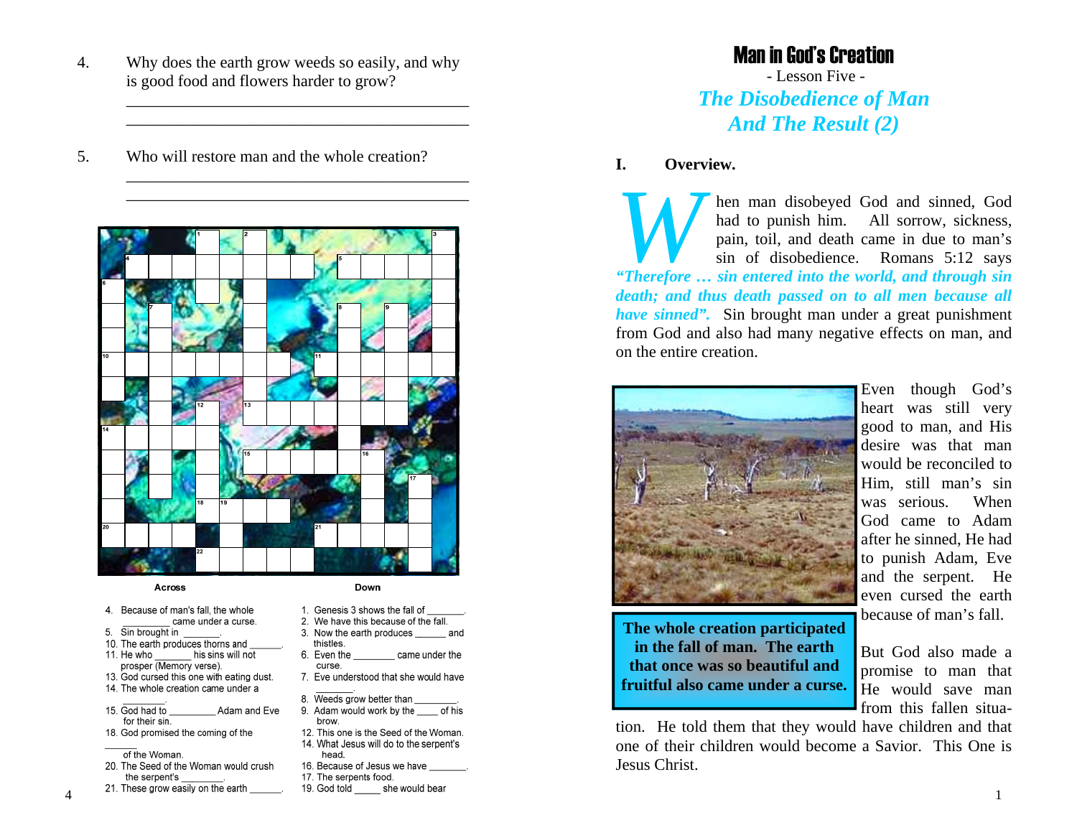4. Why does the earth grow weeds so easily, and why is good food and flowers harder to grow?

> \_\_\_\_\_\_\_\_\_\_\_\_\_\_\_\_\_\_\_\_\_\_\_\_\_\_\_\_\_\_\_\_\_\_\_\_\_\_\_\_\_\_ \_\_\_\_\_\_\_\_\_\_\_\_\_\_\_\_\_\_\_\_\_\_\_\_\_\_\_\_\_\_\_\_\_\_\_\_\_\_\_\_\_\_

> \_\_\_\_\_\_\_\_\_\_\_\_\_\_\_\_\_\_\_\_\_\_\_\_\_\_\_\_\_\_\_\_\_\_\_\_\_\_\_\_\_\_ \_\_\_\_\_\_\_\_\_\_\_\_\_\_\_\_\_\_\_\_\_\_\_\_\_\_\_\_\_\_\_\_\_\_\_\_\_\_\_\_\_\_

5. Who will restore man and the whole creation?



#### Across

- 4. Because of man's fall, the whole came under a curse.
- 5. Sin brought in
- 10. The earth produces thorns and
- 11. He who his sins will not prosper (Memory verse).
- 13. God cursed this one with eating dust. 14. The whole creation came under a
- 15. God had to Adam and Eve for their sin.
- 18. God promised the coming of the
- of the Woman.
- 20. The Seed of the Woman would crush the serpent's
- 21. These grow easily on the earth
- Down
- 1. Genesis 3 shows the fall of
- 2. We have this because of the fall.
- 3. Now the earth produces and thistles.
- 6. Even the came under the curse.
- 7. Eve understood that she would have
- 8. Weeds grow better than 9. Adam would work by the of his
- brow. 12. This one is the Seed of the Woman. 14. What Jesus will do to the serpent's
- head. 16. Because of Jesus we have
- 17. The serpents food.
- 19. God told she would bear

# Man in God's Creation

 - Lesson Five - *The Disobedience of Man And The Result (2)*

#### **I. Overview.**

*When man disobeyed God and sinned, God had to punish him.* All sorrow, sickness, pain, toil, and death came in due to man's sin of disobedience. Romans 5:12 says *"Therefore … sin entered into the world, and through sin death; and thus death passed on to all men because all have sinned".* Sin brought man under a great punishment from God and also had many negative effects on man, and on the entire creation.



Even though God's heart was still very good to man, and His desire was that man would be reconciled to Him, still man's sin was serious. When God came to Adam after he sinned, He had to punish Adam, Eve and the serpent. He even cursed the earth because of man's fall.

**The whole creation participated in the fall of man. The earth that once was so beautiful and fruitful also came under a curse.** 

But God also made a promise to man that He would save man from this fallen situa-

1

tion. He told them that they would have children and that one of their children would become a Savior. This One is Jesus Christ.